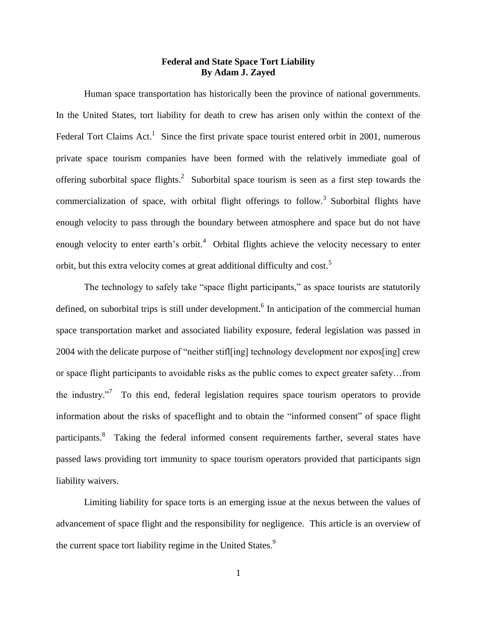# **Federal and State Space Tort Liability By Adam J. Zayed**

Human space transportation has historically been the province of national governments. In the United States, tort liability for death to crew has arisen only within the context of the Federal Tort Claims Act.<sup>1</sup> Since the first private space tourist entered orbit in 2001, numerous private space tourism companies have been formed with the relatively immediate goal of offering suborbital space flights.<sup>2</sup> Suborbital space tourism is seen as a first step towards the commercialization of space, with orbital flight offerings to follow.<sup>3</sup> Suborbital flights have enough velocity to pass through the boundary between atmosphere and space but do not have enough velocity to enter earth's orbit.<sup>4</sup> Orbital flights achieve the velocity necessary to enter orbit, but this extra velocity comes at great additional difficulty and cost.<sup>5</sup>

The technology to safely take "space flight participants," as space tourists are statutorily defined, on suborbital trips is still under development.<sup>6</sup> In anticipation of the commercial human space transportation market and associated liability exposure, federal legislation was passed in 2004 with the delicate purpose of "neither stifl[ing] technology development nor expos[ing] crew or space flight participants to avoidable risks as the public comes to expect greater safety…from the industry."<sup>7</sup> To this end, federal legislation requires space tourism operators to provide information about the risks of spaceflight and to obtain the "informed consent" of space flight participants.<sup>8</sup> Taking the federal informed consent requirements farther, several states have passed laws providing tort immunity to space tourism operators provided that participants sign liability waivers.

Limiting liability for space torts is an emerging issue at the nexus between the values of advancement of space flight and the responsibility for negligence. This article is an overview of the current space tort liability regime in the United States.<sup>9</sup>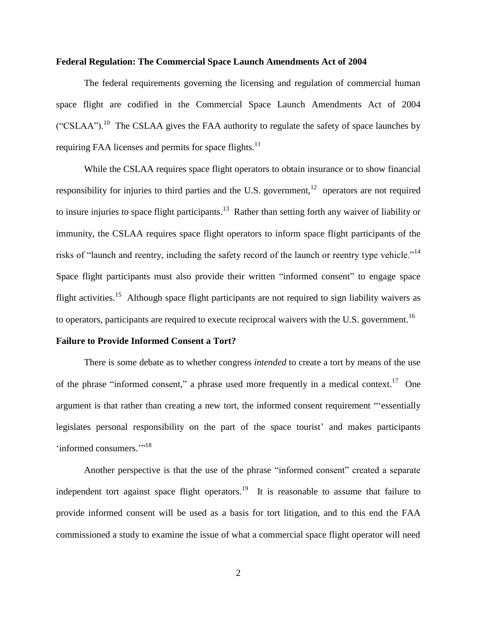## **Federal Regulation: The Commercial Space Launch Amendments Act of 2004**

The federal requirements governing the licensing and regulation of commercial human space flight are codified in the Commercial Space Launch Amendments Act of 2004 ("CSLAA").<sup>10</sup> The CSLAA gives the FAA authority to regulate the safety of space launches by requiring FAA licenses and permits for space flights. $11$ 

While the CSLAA requires space flight operators to obtain insurance or to show financial responsibility for injuries to third parties and the U.S. government,  $12$  operators are not required to insure injuries to space flight participants.<sup>13</sup> Rather than setting forth any waiver of liability or immunity, the CSLAA requires space flight operators to inform space flight participants of the risks of "launch and reentry, including the safety record of the launch or reentry type vehicle."<sup>14</sup> Space flight participants must also provide their written "informed consent" to engage space flight activities.<sup>15</sup> Although space flight participants are not required to sign liability waivers as to operators, participants are required to execute reciprocal waivers with the U.S. government.<sup>16</sup>

## **Failure to Provide Informed Consent a Tort?**

There is some debate as to whether congress *intended* to create a tort by means of the use of the phrase "informed consent," a phrase used more frequently in a medical context.<sup>17</sup> One argument is that rather than creating a new tort, the informed consent requirement "'essentially legislates personal responsibility on the part of the space tourist' and makes participants 'informed consumers."<sup>18</sup>

Another perspective is that the use of the phrase "informed consent" created a separate independent tort against space flight operators.<sup>19</sup> It is reasonable to assume that failure to provide informed consent will be used as a basis for tort litigation, and to this end the FAA commissioned a study to examine the issue of what a commercial space flight operator will need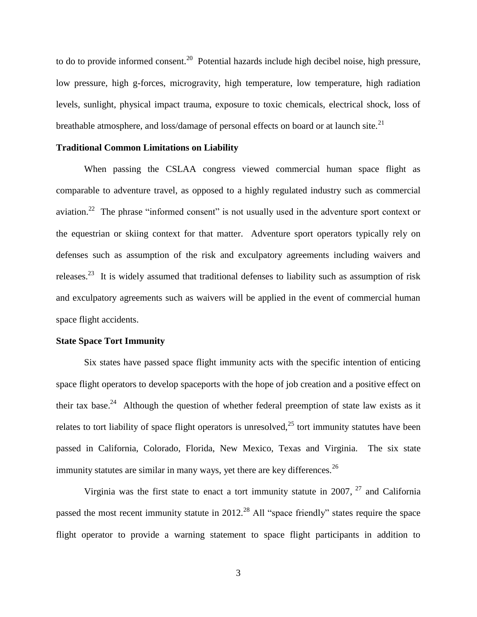to do to provide informed consent.<sup>20</sup> Potential hazards include high decibel noise, high pressure, low pressure, high g-forces, microgravity, high temperature, low temperature, high radiation levels, sunlight, physical impact trauma, exposure to toxic chemicals, electrical shock, loss of breathable atmosphere, and loss/damage of personal effects on board or at launch site.<sup>21</sup>

## **Traditional Common Limitations on Liability**

When passing the CSLAA congress viewed commercial human space flight as comparable to adventure travel, as opposed to a highly regulated industry such as commercial aviation.<sup>22</sup> The phrase "informed consent" is not usually used in the adventure sport context or the equestrian or skiing context for that matter. Adventure sport operators typically rely on defenses such as assumption of the risk and exculpatory agreements including waivers and releases.<sup>23</sup> It is widely assumed that traditional defenses to liability such as assumption of risk and exculpatory agreements such as waivers will be applied in the event of commercial human space flight accidents.

## **State Space Tort Immunity**

Six states have passed space flight immunity acts with the specific intention of enticing space flight operators to develop spaceports with the hope of job creation and a positive effect on their tax base.<sup>24</sup> Although the question of whether federal preemption of state law exists as it relates to tort liability of space flight operators is unresolved, $^{25}$  tort immunity statutes have been passed in California, Colorado, Florida, New Mexico, Texas and Virginia. The six state immunity statutes are similar in many ways, yet there are key differences.<sup>26</sup>

Virginia was the first state to enact a tort immunity statute in 2007,  $27$  and California passed the most recent immunity statute in  $2012<sup>28</sup>$  All "space friendly" states require the space flight operator to provide a warning statement to space flight participants in addition to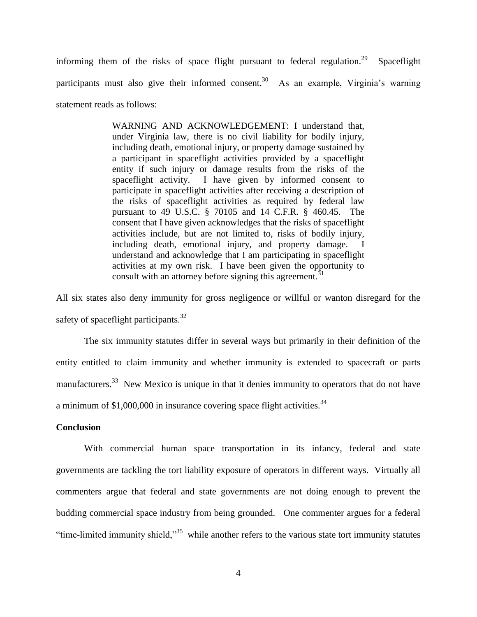informing them of the risks of space flight pursuant to federal regulation.<sup>29</sup> Spaceflight participants must also give their informed consent.<sup>30</sup> As an example, Virginia's warning statement reads as follows:

> WARNING AND ACKNOWLEDGEMENT: I understand that, under Virginia law, there is no civil liability for bodily injury, including death, emotional injury, or property damage sustained by a participant in spaceflight activities provided by a spaceflight entity if such injury or damage results from the risks of the spaceflight activity. I have given by informed consent to participate in spaceflight activities after receiving a description of the risks of spaceflight activities as required by federal law pursuant to 49 U.S.C. § 70105 and 14 C.F.R. § 460.45. The consent that I have given acknowledges that the risks of spaceflight activities include, but are not limited to, risks of bodily injury, including death, emotional injury, and property damage. I understand and acknowledge that I am participating in spaceflight activities at my own risk. I have been given the opportunity to consult with an attorney before signing this agreement.<sup>31</sup>

All six states also deny immunity for gross negligence or willful or wanton disregard for the safety of spaceflight participants.<sup>32</sup>

The six immunity statutes differ in several ways but primarily in their definition of the entity entitled to claim immunity and whether immunity is extended to spacecraft or parts manufacturers.<sup>33</sup> New Mexico is unique in that it denies immunity to operators that do not have a minimum of  $$1,000,000$  in insurance covering space flight activities.<sup>34</sup>

### **Conclusion**

With commercial human space transportation in its infancy, federal and state governments are tackling the tort liability exposure of operators in different ways. Virtually all commenters argue that federal and state governments are not doing enough to prevent the budding commercial space industry from being grounded. One commenter argues for a federal "time-limited immunity shield,"<sup>35</sup> while another refers to the various state tort immunity statutes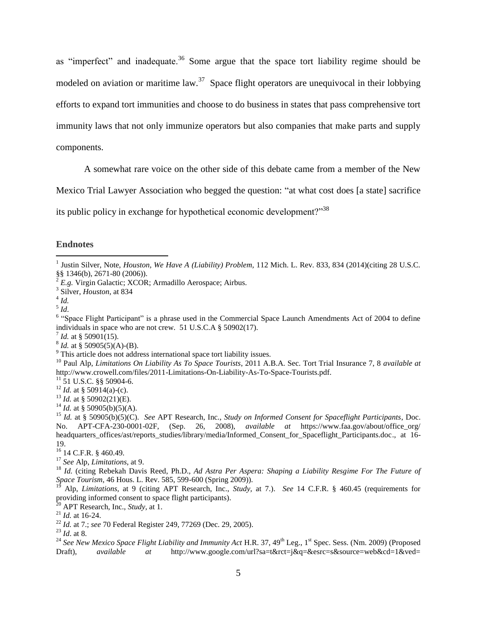as "imperfect" and inadequate.<sup>36</sup> Some argue that the space tort liability regime should be modeled on aviation or maritime law.<sup>37</sup> Space flight operators are unequivocal in their lobbying efforts to expand tort immunities and choose to do business in states that pass comprehensive tort immunity laws that not only immunize operators but also companies that make parts and supply components.

A somewhat rare voice on the other side of this debate came from a member of the New

Mexico Trial Lawyer Association who begged the question: "at what cost does [a state] sacrifice

its public policy in exchange for hypothetical economic development?"<sup>38</sup>

## **Endnotes**

 $\overline{a}$ 

<sup>6</sup> "Space Flight Participant" is a phrase used in the Commercial Space Launch Amendments Act of 2004 to define individuals in space who are not crew. 51 U.S.C.A § 50902(17).

 $^{7}$  *Id.* at § 50901(15).

<sup>16</sup> 14 C.F.R. § 460.49.

<sup>20</sup> APT Research, Inc., *Study,* at 1.

<sup>&</sup>lt;sup>1</sup> Justin Silver, Note, *Houston, We Have A (Liability) Problem,* 112 Mich. L. Rev. 833, 834 (2014)(citing 28 U.S.C.  $\S$ §§ 1346(b), 2671-80 (2006)).

<sup>2</sup> *E.g.* Virgin Galactic; XCOR; Armadillo Aerospace; Airbus.

<sup>3</sup> Silver, *Houston*, at 834

<sup>4</sup> *Id.*

<sup>5</sup> *Id*.

 $^{8}$  *Id.* at § 50905(5)(A)-(B).

<sup>&</sup>lt;sup>9</sup> This article does not address international space tort liability issues.

<sup>10</sup> Paul Alp, *Limitations On Liability As To Space Tourists*, 2011 A.B.A. Sec. Tort Trial Insurance 7, 8 *available at* http://www.crowell.com/files/2011-Limitations-On-Liability-As-To-Space-Tourists.pdf.

 $^{11}$  51 U.S.C. §§ 50904-6.

<sup>&</sup>lt;sup>12</sup> *Id.* at § 50914(a)-(c).

<sup>&</sup>lt;sup>13</sup> *Id.* at § 50902(21)(E).

<sup>&</sup>lt;sup>14</sup> *Id.* at § 50905(b)(5)(A).

<sup>15</sup> *Id.* at § 50905(b)(5)(C). *See* APT Research, Inc., *Study on Informed Consent for Spaceflight Participants*, Doc. No. APT-CFA-230-0001-02F, (Sep. 26, 2008), *available at* https://www.faa.gov/about/office\_org/ headquarters offices/ast/reports\_studies/library/media/Informed\_Consent\_for\_Spaceflight\_Participants.doc., at 16-19.

<sup>17</sup> *See* Alp, *Limitations*, at 9.

<sup>18</sup> *Id.* (citing Rebekah Davis Reed, Ph.D., *Ad Astra Per Aspera: Shaping a Liability Resgime For The Future of Space Tourism*, 46 Hous. L. Rev. 585, 599-600 (Spring 2009)).

<sup>19</sup> Alp, *Limitations,* at 9 (citing APT Research, Inc., *Study,* at 7.). *See* 14 C.F.R. § 460.45 (requirements for providing informed consent to space flight participants).

<sup>21</sup> *Id.* at 16-24.

<sup>22</sup> *Id.* at 7.; *see* 70 Federal Register 249, 77269 (Dec. 29, 2005).

<sup>23</sup> *Id*. at 8.

<sup>&</sup>lt;sup>24</sup> See New Mexico Space Flight Liability and Immunity Act H.R. 37, 49<sup>th</sup> Leg., 1<sup>st</sup> Spec. Sess. (Nm. 2009) (Proposed Draft), *available at* http://www.google.com/url?sa=t&rct=j&q=&esrc=s&source=web&cd=1&ved=